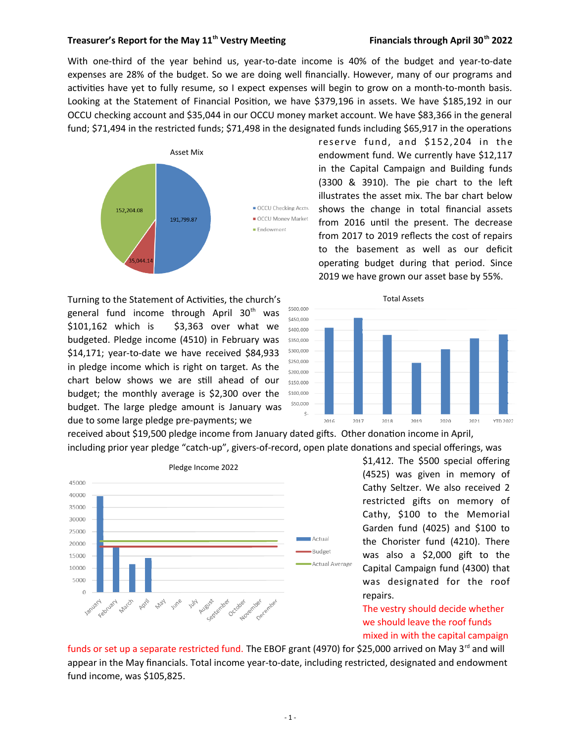## **Treasurer's Report for the May 11th Vestry Meetng Financials through April 30th 2022**

With one-third of the year behind us, year-to-date income is 40% of the budget and year-to-date expenses are 28% of the budget. So we are doing well fnancially. However, many of our programs and activities have yet to fully resume, so I expect expenses will begin to grow on a month-to-month basis. Looking at the Statement of Financial Positon, we have \$379,196 in assets. We have \$185,192 in our OCCU checking account and \$35,044 in our OCCU money market account. We have \$83,366 in the general fund; \$71,494 in the restricted funds; \$71,498 in the designated funds including \$65,917 in the operations



Turning to the Statement of Activities, the church's general fund income through April 30<sup>th</sup> was \$101,162 which is \$3,363 over what we budgeted. Pledge income (4510) in February was \$14,171; year-to-date we have received \$84,933 in pledge income which is right on target. As the chart below shows we are still ahead of our budget; the monthly average is \$2,300 over the budget. The large pledge amount is January was due to some large pledge pre-payments; we

reserve fund, and \$152,204 in the endowment fund. We currently have \$12,117 in the Capital Campaign and Building funds (3300 & 3910). The pie chart to the lef illustrates the asset mix. The bar chart below shows the change in total fnancial assets from 2016 until the present. The decrease from 2017 to 2019 reflects the cost of repairs to the basement as well as our deficit operating budget during that period. Since 2019 we have grown our asset base by 55%.



received about \$19,500 pledge income from January dated gifts. Other donation income in April, including prior year pledge "catch-up", givers-of-record, open plate donations and special offerings, was



\$1,412. The \$500 special offering (4525) was given in memory of Cathy Seltzer. We also received 2 restricted gifs on memory of Cathy, \$100 to the Memorial Garden fund (4025) and \$100 to the Chorister fund (4210). There was also a \$2,000 gift to the Capital Campaign fund (4300) that was designated for the roof repairs.

mixed in with the capital campaign The vestry should decide whether we should leave the roof funds

funds or set up a separate restricted fund. The EBOF grant (4970) for \$25,000 arrived on May 3<sup>rd</sup> and will appear in the May financials. Total income year-to-date, including restricted, designated and endowment fund income, was \$105,825.